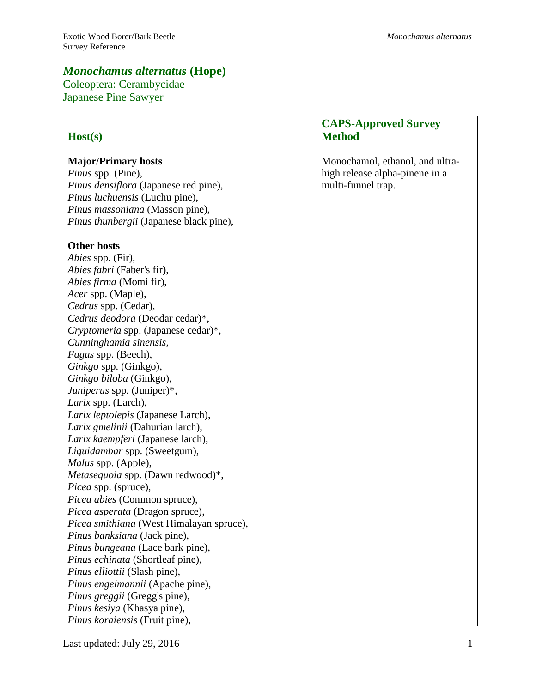# *Monochamus alternatus* **(Hope)**

# Coleoptera: Cerambycidae Japanese Pine Sawyer

| Host(s)                                  | <b>CAPS-Approved Survey</b><br><b>Method</b> |
|------------------------------------------|----------------------------------------------|
|                                          |                                              |
| <b>Major/Primary hosts</b>               | Monochamol, ethanol, and ultra-              |
| Pinus spp. (Pine),                       | high release alpha-pinene in a               |
| Pinus densiflora (Japanese red pine),    | multi-funnel trap.                           |
| Pinus luchuensis (Luchu pine),           |                                              |
| Pinus massoniana (Masson pine),          |                                              |
| Pinus thunbergii (Japanese black pine),  |                                              |
| <b>Other hosts</b>                       |                                              |
| <i>Abies</i> spp. (Fir),                 |                                              |
| Abies fabri (Faber's fir),               |                                              |
| Abies firma (Momi fir),                  |                                              |
| Acer spp. (Maple),                       |                                              |
| Cedrus spp. (Cedar),                     |                                              |
| Cedrus deodora (Deodar cedar)*,          |                                              |
| Cryptomeria spp. (Japanese cedar)*,      |                                              |
| Cunninghamia sinensis,                   |                                              |
| Fagus spp. (Beech),                      |                                              |
| Ginkgo spp. (Ginkgo),                    |                                              |
| Ginkgo biloba (Ginkgo),                  |                                              |
| Juniperus spp. (Juniper)*,               |                                              |
| Larix spp. (Larch),                      |                                              |
| Larix leptolepis (Japanese Larch),       |                                              |
| Larix gmelinii (Dahurian larch),         |                                              |
| Larix kaempferi (Japanese larch),        |                                              |
| Liquidambar spp. (Sweetgum),             |                                              |
| Malus spp. (Apple),                      |                                              |
| Metasequoia spp. (Dawn redwood)*,        |                                              |
| Picea spp. (spruce),                     |                                              |
| Picea abies (Common spruce),             |                                              |
| Picea asperata (Dragon spruce),          |                                              |
| Picea smithiana (West Himalayan spruce), |                                              |
| Pinus banksiana (Jack pine),             |                                              |
| Pinus bungeana (Lace bark pine),         |                                              |
| Pinus echinata (Shortleaf pine),         |                                              |
| Pinus elliottii (Slash pine),            |                                              |
| Pinus engelmannii (Apache pine),         |                                              |
| Pinus greggii (Gregg's pine),            |                                              |
| Pinus kesiya (Khasya pine),              |                                              |
| Pinus koraiensis (Fruit pine),           |                                              |

Last updated: July 29, 2016  $1$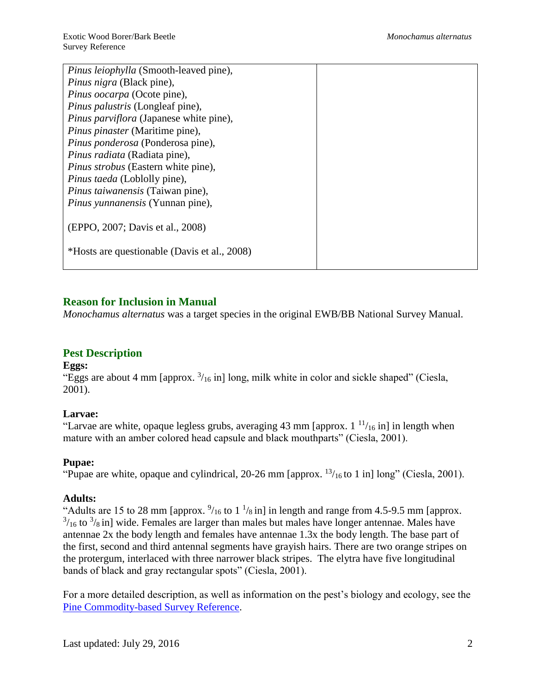| Pinus leiophylla (Smooth-leaved pine),       |  |
|----------------------------------------------|--|
| Pinus nigra (Black pine),                    |  |
| Pinus oocarpa (Ocote pine),                  |  |
| <i>Pinus palustris</i> (Longleaf pine),      |  |
| Pinus parviflora (Japanese white pine),      |  |
| Pinus pinaster (Maritime pine),              |  |
| Pinus ponderosa (Ponderosa pine),            |  |
| Pinus radiata (Radiata pine),                |  |
| <i>Pinus strobus</i> (Eastern white pine),   |  |
| Pinus taeda (Loblolly pine),                 |  |
| Pinus taiwanensis (Taiwan pine),             |  |
| <i>Pinus yunnanensis</i> (Yunnan pine),      |  |
|                                              |  |
| (EPPO, 2007; Davis et al., 2008)             |  |
|                                              |  |
| *Hosts are questionable (Davis et al., 2008) |  |
|                                              |  |

# **Reason for Inclusion in Manual**

*Monochamus alternatus* was a target species in the original EWB/BB National Survey Manual.

# **Pest Description**

#### **Eggs:**

"Eggs are about 4 mm [approx.  $\frac{3}{16}$  in] long, milk white in color and sickle shaped" (Ciesla, 2001).

# **Larvae:**

"Larvae are white, opaque legless grubs, averaging 43 mm [approx.  $1^{11}/_{16}$  in] in length when mature with an amber colored head capsule and black mouthparts" (Ciesla, 2001).

# **Pupae:**

"Pupae are white, opaque and cylindrical, 20-26 mm [approx.  $\frac{13}{16}$  to 1 in] long" (Ciesla, 2001).

# **Adults:**

"Adults are 15 to 28 mm [approx.  $\frac{9}{16}$  to 1  $\frac{1}{8}$  in] in length and range from 4.5-9.5 mm [approx.  $3/16$  to  $3/8$  in] wide. Females are larger than males but males have longer antennae. Males have antennae 2x the body length and females have antennae 1.3x the body length. The base part of the first, second and third antennal segments have grayish hairs. There are two orange stripes on the protergum, interlaced with three narrower black stripes. The elytra have five longitudinal bands of black and gray rectangular spots" (Ciesla, 2001).

For a more detailed description, as well as information on the pest's biology and ecology, see the [Pine Commodity-based Survey Reference.](http://caps.ceris.purdue.edu/survey_manuals)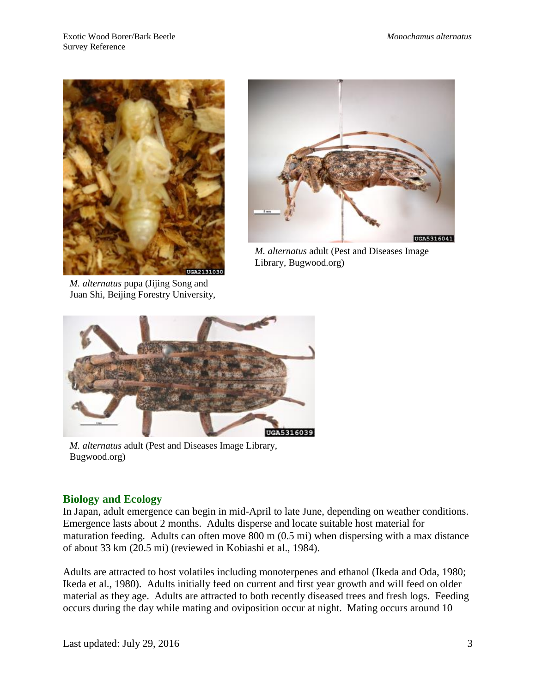

*M. alternatus* pupa (Jijing Song and Juan Shi, Beijing Forestry University,



*M. alternatus* adult (Pest and Diseases Image Library, Bugwood.org)



*M. alternatus* adult (Pest and Diseases Image Library, Bugwood.org)

# **Biology and Ecology**

In Japan, adult emergence can begin in mid-April to late June, depending on weather conditions. Emergence lasts about 2 months. Adults disperse and locate suitable host material for maturation feeding. Adults can often move 800 m (0.5 mi) when dispersing with a max distance of about 33 km (20.5 mi) (reviewed in Kobiashi et al., 1984).

Adults are attracted to host volatiles including monoterpenes and ethanol (Ikeda and Oda, 1980; Ikeda et al., 1980). Adults initially feed on current and first year growth and will feed on older material as they age. Adults are attracted to both recently diseased trees and fresh logs. Feeding occurs during the day while mating and oviposition occur at night. Mating occurs around 10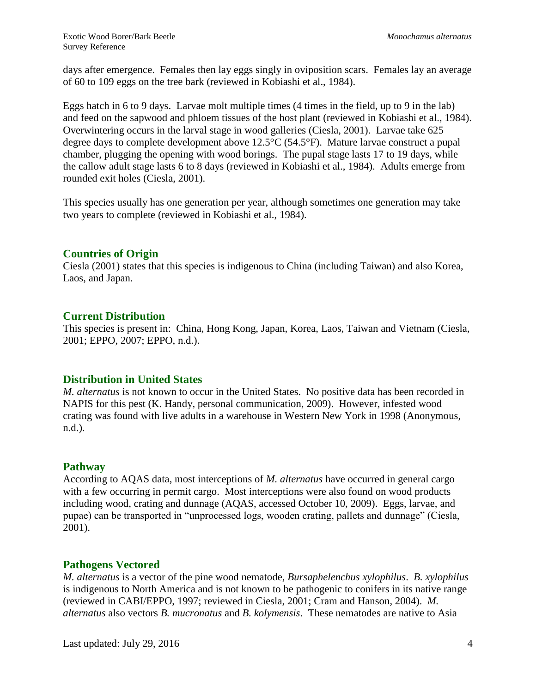days after emergence. Females then lay eggs singly in oviposition scars. Females lay an average of 60 to 109 eggs on the tree bark (reviewed in Kobiashi et al., 1984).

Eggs hatch in 6 to 9 days. Larvae molt multiple times (4 times in the field, up to 9 in the lab) and feed on the sapwood and phloem tissues of the host plant (reviewed in Kobiashi et al., 1984). Overwintering occurs in the larval stage in wood galleries (Ciesla, 2001). Larvae take 625 degree days to complete development above 12.5°C (54.5°F). Mature larvae construct a pupal chamber, plugging the opening with wood borings. The pupal stage lasts 17 to 19 days, while the callow adult stage lasts 6 to 8 days (reviewed in Kobiashi et al., 1984). Adults emerge from rounded exit holes (Ciesla, 2001).

This species usually has one generation per year, although sometimes one generation may take two years to complete (reviewed in Kobiashi et al., 1984).

### **Countries of Origin**

Ciesla (2001) states that this species is indigenous to China (including Taiwan) and also Korea, Laos, and Japan.

### **Current Distribution**

This species is present in: China, Hong Kong, Japan, Korea, Laos, Taiwan and Vietnam (Ciesla, 2001; EPPO, 2007; EPPO, n.d.).

# **Distribution in United States**

*M. alternatus* is not known to occur in the United States. No positive data has been recorded in NAPIS for this pest (K. Handy, personal communication, 2009). However, infested wood crating was found with live adults in a warehouse in Western New York in 1998 (Anonymous, n.d.).

# **Pathway**

According to AQAS data, most interceptions of *M. alternatus* have occurred in general cargo with a few occurring in permit cargo. Most interceptions were also found on wood products including wood, crating and dunnage (AQAS, accessed October 10, 2009). Eggs, larvae, and pupae) can be transported in "unprocessed logs, wooden crating, pallets and dunnage" (Ciesla, 2001).

#### **Pathogens Vectored**

*M. alternatus* is a vector of the pine wood nematode, *Bursaphelenchus xylophilus*. *B. xylophilus*  is indigenous to North America and is not known to be pathogenic to conifers in its native range (reviewed in CABI/EPPO, 1997; reviewed in Ciesla, 2001; Cram and Hanson, 2004). *M. alternatus* also vectors *B. mucronatus* and *B. kolymensis*. These nematodes are native to Asia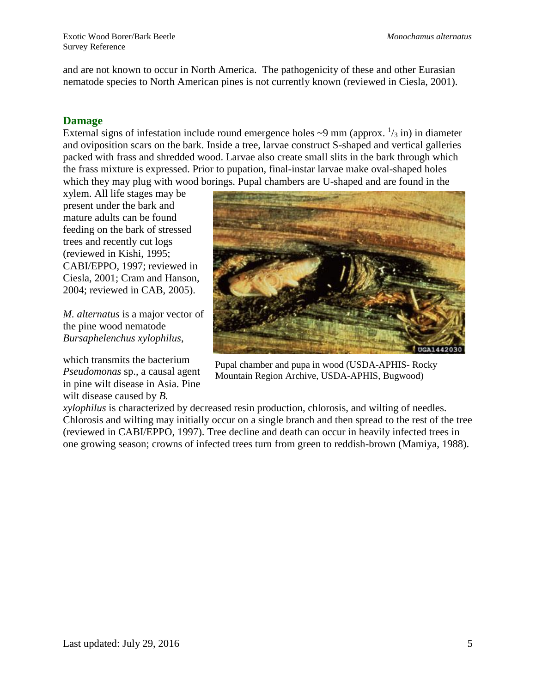and are not known to occur in North America. The pathogenicity of these and other Eurasian nematode species to North American pines is not currently known (reviewed in Ciesla, 2001).

### **Damage**

External signs of infestation include round emergence holes  $\sim$ 9 mm (approx.  $\frac{1}{3}$  in) in diameter and oviposition scars on the bark. Inside a tree, larvae construct S-shaped and vertical galleries packed with frass and shredded wood. Larvae also create small slits in the bark through which the frass mixture is expressed. Prior to pupation, final-instar larvae make oval-shaped holes which they may plug with wood borings. Pupal chambers are U-shaped and are found in the

xylem. All life stages may be present under the bark and mature adults can be found feeding on the bark of stressed trees and recently cut logs (reviewed in Kishi, 1995; CABI/EPPO, 1997; reviewed in Ciesla, 2001; Cram and Hanson, 2004; reviewed in CAB, 2005).

*M. alternatus* is a major vector of the pine wood nematode *Bursaphelenchus xylophilus*,

which transmits the bacterium *Pseudomonas* sp., a causal agent in pine wilt disease in Asia. Pine wilt disease caused by *B.* 



Pupal chamber and pupa in wood (USDA-APHIS- Rocky Mountain Region Archive, USDA-APHIS, Bugwood)

*xylophilus* is characterized by decreased resin production, chlorosis, and wilting of needles. Chlorosis and wilting may initially occur on a single branch and then spread to the rest of the tree (reviewed in CABI/EPPO, 1997). Tree decline and death can occur in heavily infected trees in one growing season; crowns of infected trees turn from green to reddish-brown (Mamiya, 1988).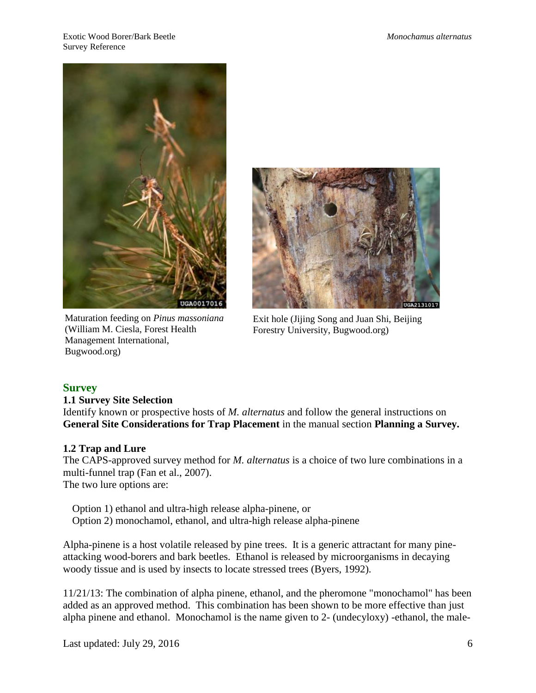

Maturation feeding on *Pinus massoniana* (William M. Ciesla, Forest Health Management International, Bugwood.org)



Exit hole (Jijing Song and Juan Shi, Beijing Forestry University, Bugwood.org)

# **Survey**

#### **1.1 Survey Site Selection**

Identify known or prospective hosts of *M. alternatus* and follow the general instructions on **General Site Considerations for Trap Placement** in the manual section **Planning a Survey.**

#### **1.2 Trap and Lure**

The CAPS-approved survey method for *M. alternatus* is a choice of two lure combinations in a multi-funnel trap (Fan et al., 2007). The two lure options are:

Option 1) ethanol and ultra-high release alpha-pinene, or Option 2) monochamol, ethanol, and ultra-high release alpha-pinene

Alpha-pinene is a host volatile released by pine trees. It is a generic attractant for many pineattacking wood-borers and bark beetles. Ethanol is released by microorganisms in decaying woody tissue and is used by insects to locate stressed trees (Byers, 1992).

11/21/13: The combination of alpha pinene, ethanol, and the pheromone "monochamol" has been added as an approved method. This combination has been shown to be more effective than just alpha pinene and ethanol. Monochamol is the name given to 2- (undecyloxy) -ethanol, the male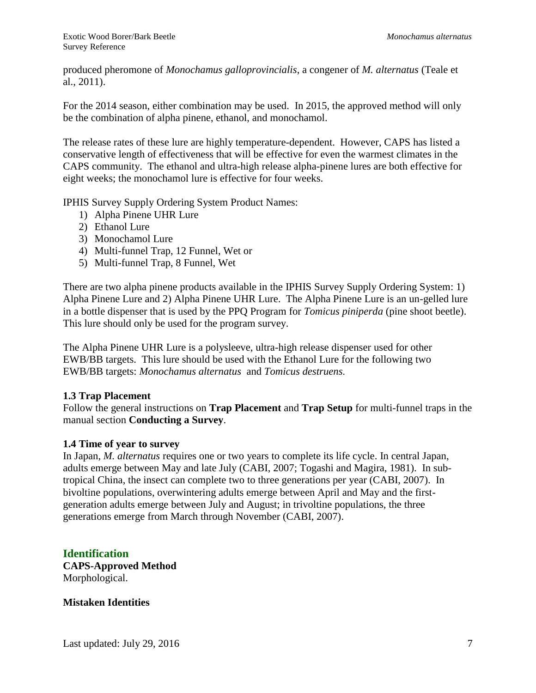produced pheromone of *Monochamus galloprovincialis*, a congener of *M. alternatus* (Teale et al., 2011).

For the 2014 season, either combination may be used. In 2015, the approved method will only be the combination of alpha pinene, ethanol, and monochamol.

The release rates of these lure are highly temperature-dependent. However, CAPS has listed a conservative length of effectiveness that will be effective for even the warmest climates in the CAPS community. The ethanol and ultra-high release alpha-pinene lures are both effective for eight weeks; the monochamol lure is effective for four weeks.

IPHIS Survey Supply Ordering System Product Names:

- 1) Alpha Pinene UHR Lure
- 2) Ethanol Lure
- 3) Monochamol Lure
- 4) Multi-funnel Trap, 12 Funnel, Wet or
- 5) Multi-funnel Trap, 8 Funnel, Wet

There are two alpha pinene products available in the IPHIS Survey Supply Ordering System: 1) Alpha Pinene Lure and 2) Alpha Pinene UHR Lure. The Alpha Pinene Lure is an un-gelled lure in a bottle dispenser that is used by the PPQ Program for *Tomicus piniperda* (pine shoot beetle). This lure should only be used for the program survey.

The Alpha Pinene UHR Lure is a polysleeve, ultra-high release dispenser used for other EWB/BB targets. This lure should be used with the Ethanol Lure for the following two EWB/BB targets: *Monochamus alternatus* and *Tomicus destruens*.

#### **1.3 Trap Placement**

Follow the general instructions on **Trap Placement** and **Trap Setup** for multi-funnel traps in the manual section **Conducting a Survey**.

#### **1.4 Time of year to survey**

In Japan, *M. alternatus* requires one or two years to complete its life cycle. In central Japan, adults emerge between May and late July (CABI, 2007; Togashi and Magira, 1981). In subtropical China, the insect can complete two to three generations per year (CABI, 2007). In bivoltine populations, overwintering adults emerge between April and May and the firstgeneration adults emerge between July and August; in trivoltine populations, the three generations emerge from March through November (CABI, 2007).

**Identification CAPS-Approved Method** Morphological.

**Mistaken Identities**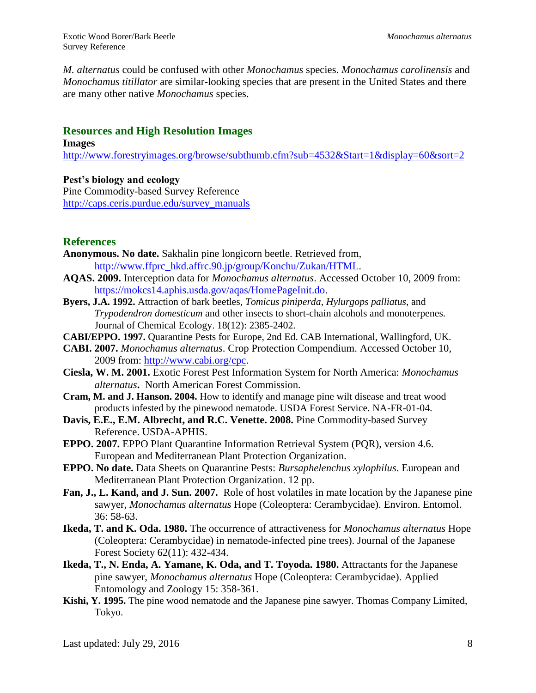*M. alternatus* could be confused with other *Monochamus* species. *Monochamus carolinensis* and *Monochamus titillator* are similar-looking species that are present in the United States and there are many other native *Monochamus* species.

# **Resources and High Resolution Images**

#### **Images**

<http://www.forestryimages.org/browse/subthumb.cfm?sub=4532&Start=1&display=60&sort=2>

#### **Pest's biology and ecology**

Pine Commodity-based Survey Reference [http://caps.ceris.purdue.edu/survey\\_manuals](http://caps.ceris.purdue.edu/survey_manuals)

# **References**

- **Anonymous. No date.** Sakhalin pine longicorn beetle. Retrieved from, [http://www.ffprc\\_hkd.affrc.90.jp/group/Konchu/Zukan/HTML.](http://www.ffprc_hkd.affrc.90.jp/group/Konchu/Zukan/HTML)
- **AQAS. 2009.** Interception data for *Monochamus alternatus*. Accessed October 10, 2009 from: [https://mokcs14.aphis.usda.gov/aqas/HomePageInit.do.](https://mokcs14.aphis.usda.gov/aqas/HomePageInit.do)
- **Byers, J.A. 1992.** Attraction of bark beetles, *Tomicus piniperda*, *Hylurgops palliatus*, and *Trypodendron domesticum* and other insects to short-chain alcohols and monoterpenes. Journal of Chemical Ecology. 18(12): 2385-2402.
- **CABI/EPPO. 1997.** Quarantine Pests for Europe, 2nd Ed. CAB International, Wallingford, UK.
- **CABI. 2007.** *Monochamus alternatus*. Crop Protection Compendium. Accessed October 10, 2009 from: [http://www.cabi.org/cpc.](http://www.cabi.org/cpc)
- **Ciesla, W. M. 2001.** Exotic Forest Pest Information System for North America: *Monochamus alternatus***.** North American Forest Commission.
- **Cram, M. and J. Hanson. 2004.** How to identify and manage pine wilt disease and treat wood products infested by the pinewood nematode. USDA Forest Service. NA-FR-01-04.
- **Davis, E.E., E.M. Albrecht, and R.C. Venette. 2008.** Pine Commodity-based Survey Reference. USDA-APHIS.
- **EPPO. 2007.** EPPO Plant Quarantine Information Retrieval System (PQR), version 4.6. European and Mediterranean Plant Protection Organization.
- **EPPO. No date.** Data Sheets on Quarantine Pests: *Bursaphelenchus xylophilus*. European and Mediterranean Plant Protection Organization. 12 pp.
- **Fan, J., L. Kand, and J. Sun. 2007.** Role of host volatiles in mate location by the Japanese pine sawyer, *Monochamus alternatus* Hope (Coleoptera: Cerambycidae). Environ. Entomol. 36: 58-63.
- **Ikeda, T. and K. Oda. 1980.** The occurrence of attractiveness for *Monochamus alternatus* Hope (Coleoptera: Cerambycidae) in nematode-infected pine trees). Journal of the Japanese Forest Society 62(11): 432-434.
- **Ikeda, T., N. Enda, A. Yamane, K. Oda, and T. Toyoda. 1980.** Attractants for the Japanese pine sawyer, *Monochamus alternatus* Hope (Coleoptera: Cerambycidae). Applied Entomology and Zoology 15: 358-361.
- **Kishi, Y. 1995.** The pine wood nematode and the Japanese pine sawyer. Thomas Company Limited, Tokyo.